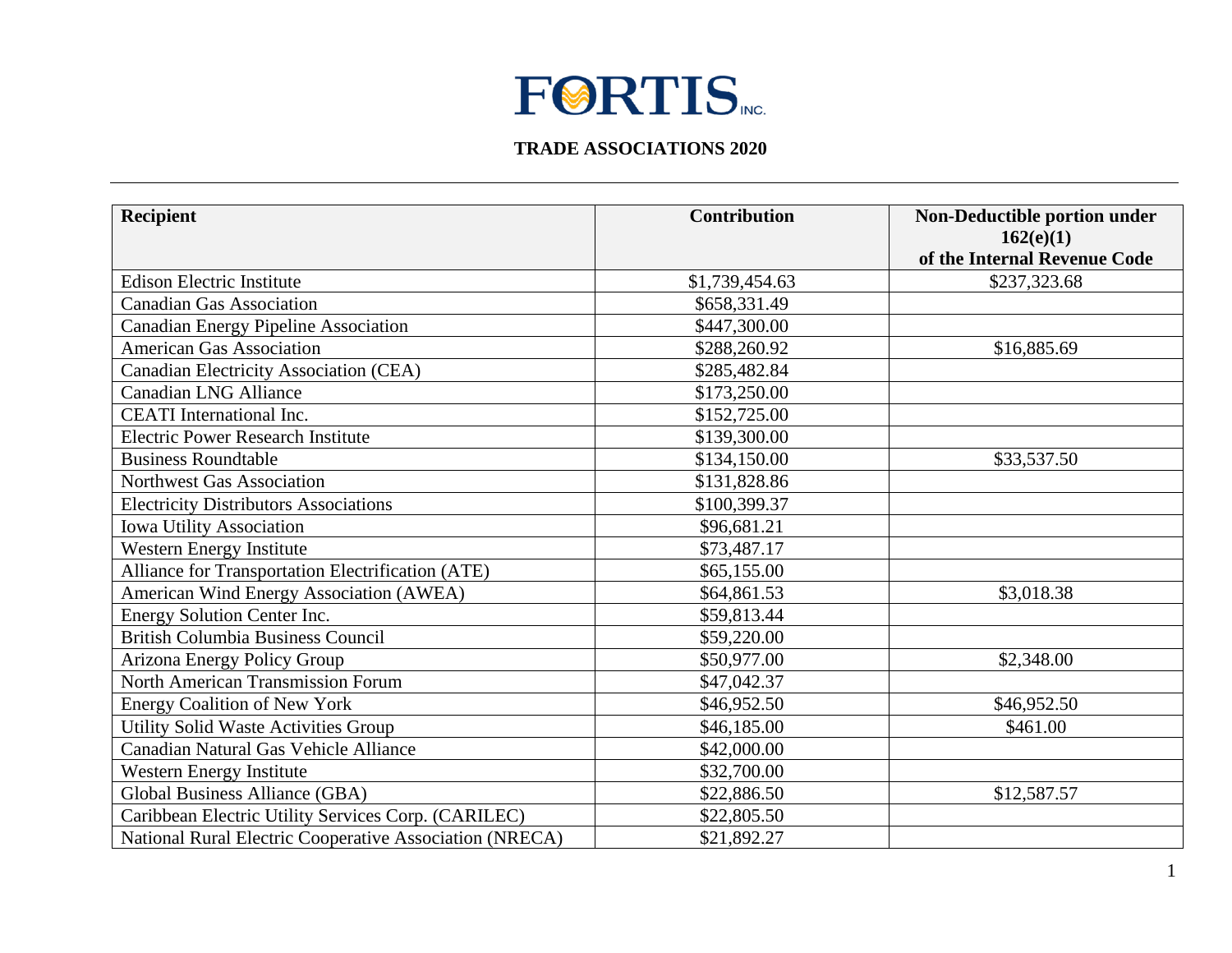## **FØRTIS**

## **TRADE ASSOCIATIONS 2020**

| <b>Recipient</b>                                        | <b>Contribution</b> | Non-Deductible portion under<br>162(e)(1)<br>of the Internal Revenue Code |
|---------------------------------------------------------|---------------------|---------------------------------------------------------------------------|
| <b>Edison Electric Institute</b>                        | \$1,739,454.63      | \$237,323.68                                                              |
| <b>Canadian Gas Association</b>                         | \$658,331.49        |                                                                           |
| Canadian Energy Pipeline Association                    | \$447,300.00        |                                                                           |
| <b>American Gas Association</b>                         | \$288,260.92        | \$16,885.69                                                               |
| Canadian Electricity Association (CEA)                  | \$285,482.84        |                                                                           |
| <b>Canadian LNG Alliance</b>                            | \$173,250.00        |                                                                           |
| <b>CEATI</b> International Inc.                         | \$152,725.00        |                                                                           |
| <b>Electric Power Research Institute</b>                | \$139,300.00        |                                                                           |
| <b>Business Roundtable</b>                              | \$134,150.00        | \$33,537.50                                                               |
| Northwest Gas Association                               | \$131,828.86        |                                                                           |
| <b>Electricity Distributors Associations</b>            | \$100,399.37        |                                                                           |
| <b>Iowa Utility Association</b>                         | \$96,681.21         |                                                                           |
| Western Energy Institute                                | \$73,487.17         |                                                                           |
| Alliance for Transportation Electrification (ATE)       | \$65,155.00         |                                                                           |
| American Wind Energy Association (AWEA)                 | \$64,861.53         | \$3,018.38                                                                |
| Energy Solution Center Inc.                             | \$59,813.44         |                                                                           |
| <b>British Columbia Business Council</b>                | \$59,220.00         |                                                                           |
| Arizona Energy Policy Group                             | \$50,977.00         | \$2,348.00                                                                |
| <b>North American Transmission Forum</b>                | \$47,042.37         |                                                                           |
| <b>Energy Coalition of New York</b>                     | \$46,952.50         | \$46,952.50                                                               |
| Utility Solid Waste Activities Group                    | \$46,185.00         | \$461.00                                                                  |
| Canadian Natural Gas Vehicle Alliance                   | \$42,000.00         |                                                                           |
| Western Energy Institute                                | \$32,700.00         |                                                                           |
| Global Business Alliance (GBA)                          | \$22,886.50         | \$12,587.57                                                               |
| Caribbean Electric Utility Services Corp. (CARILEC)     | \$22,805.50         |                                                                           |
| National Rural Electric Cooperative Association (NRECA) | \$21,892.27         |                                                                           |